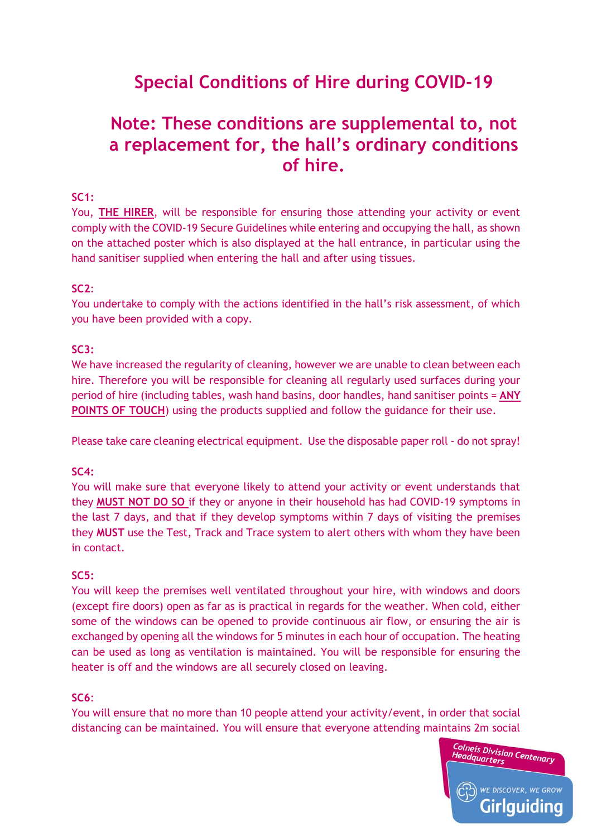# **Special Conditions of Hire during COVID-19**

# **Note: These conditions are supplemental to, not a replacement for, the hall's ordinary conditions of hire.**

# **SC1:**

You, **THE HIRER**, will be responsible for ensuring those attending your activity or event comply with the COVID-19 Secure Guidelines while entering and occupying the hall, as shown on the attached poster which is also displayed at the hall entrance, in particular using the hand sanitiser supplied when entering the hall and after using tissues.

#### **SC2**:

You undertake to comply with the actions identified in the hall's risk assessment, of which you have been provided with a copy.

#### **SC3:**

We have increased the regularity of cleaning, however we are unable to clean between each hire. Therefore you will be responsible for cleaning all regularly used surfaces during your period of hire (including tables, wash hand basins, door handles, hand sanitiser points = **ANY POINTS OF TOUCH**) using the products supplied and follow the guidance for their use.

Please take care cleaning electrical equipment. Use the disposable paper roll - do not spray!

#### **SC4:**

You will make sure that everyone likely to attend your activity or event understands that they **MUST NOT DO SO** if they or anyone in their household has had COVID-19 symptoms in the last 7 days, and that if they develop symptoms within 7 days of visiting the premises they **MUST** use the Test, Track and Trace system to alert others with whom they have been in contact.

#### **SC5:**

You will keep the premises well ventilated throughout your hire, with windows and doors (except fire doors) open as far as is practical in regards for the weather. When cold, either some of the windows can be opened to provide continuous air flow, or ensuring the air is exchanged by opening all the windows for 5 minutes in each hour of occupation. The heating can be used as long as ventilation is maintained. You will be responsible for ensuring the heater is off and the windows are all securely closed on leaving.

#### **SC6**:

You will ensure that no more than 10 people attend your activity/event, in order that social distancing can be maintained. You will ensure that everyone attending maintains 2m social

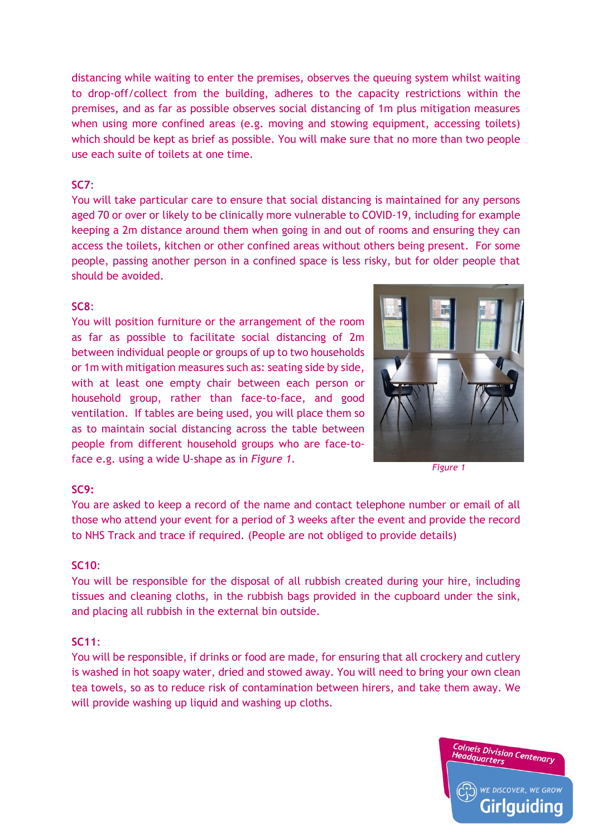distancing while waiting to enter the premises, observes the queuing system whilst waiting to drop-off/collect from the building, adheres to the capacity restrictions within the premises, and as far as possible observes social distancing of 1m plus mitigation measures when using more confined areas (e.g. moving and stowing equipment, accessing toilets) which should be kept as brief as possible. You will make sure that no more than two people use each suite of toilets at one time.

#### **SC7**:

You will take particular care to ensure that social distancing is maintained for any persons aged 70 or over or likely to be clinically more vulnerable to COVID-19, including for example keeping a 2m distance around them when going in and out of rooms and ensuring they can access the toilets, kitchen or other confined areas without others being present. For some people, passing another person in a confined space is less risky, but for older people that should be avoided.

#### **SC8**:

You will position furniture or the arrangement of the room as far as possible to facilitate social distancing of 2m between individual people or groups of up to two households or 1m with mitigation measures such as: seating side by side, with at least one empty chair between each person or household group, rather than face-to-face, and good ventilation. If tables are being used, you will place them so as to maintain social distancing across the table between people from different household groups who are face-toface e.g. using a wide U-shape as in *Figure 1*.



*Figure 1*

# **SC9:**

You are asked to keep a record of the name and contact telephone number or email of all those who attend your event for a period of 3 weeks after the event and provide the record to NHS Track and trace if required. (People are not obliged to provide details)

## **SC10**:

You will be responsible for the disposal of all rubbish created during your hire, including tissues and cleaning cloths, in the rubbish bags provided in the cupboard under the sink, and placing all rubbish in the external bin outside.

#### **SC11**:

You will be responsible, if drinks or food are made, for ensuring that all crockery and cutlery is washed in hot soapy water, dried and stowed away. You will need to bring your own clean tea towels, so as to reduce risk of contamination between hirers, and take them away. We will provide washing up liquid and washing up cloths.